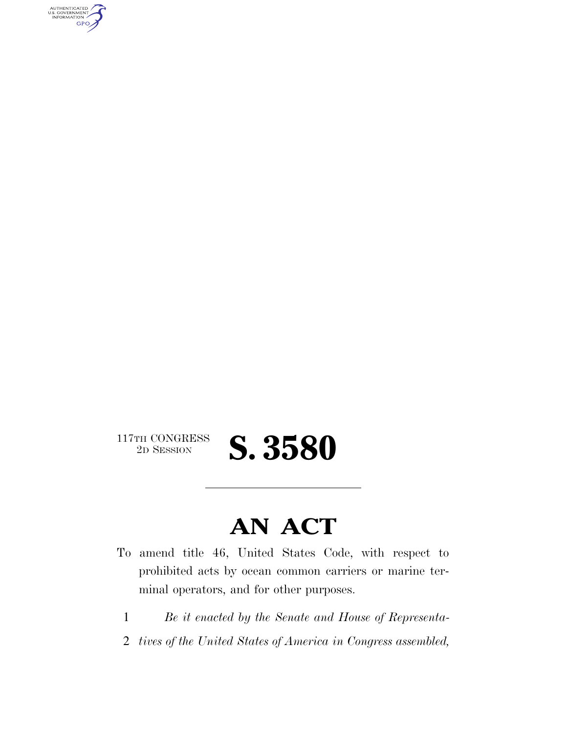AUTHENTICATED<br>U.S. GOVERNMENT<br>INFORMATION GPO

# $\begin{array}{c} \textbf{117TH CONGRESS} \\ \textbf{2D} \textbf{SESSION} \end{array}$

# **AN ACT**

2D SESSION **S. 3580** 

- To amend title 46, United States Code, with respect to prohibited acts by ocean common carriers or marine terminal operators, and for other purposes.
	- 1 *Be it enacted by the Senate and House of Representa-*
	- 2 *tives of the United States of America in Congress assembled,*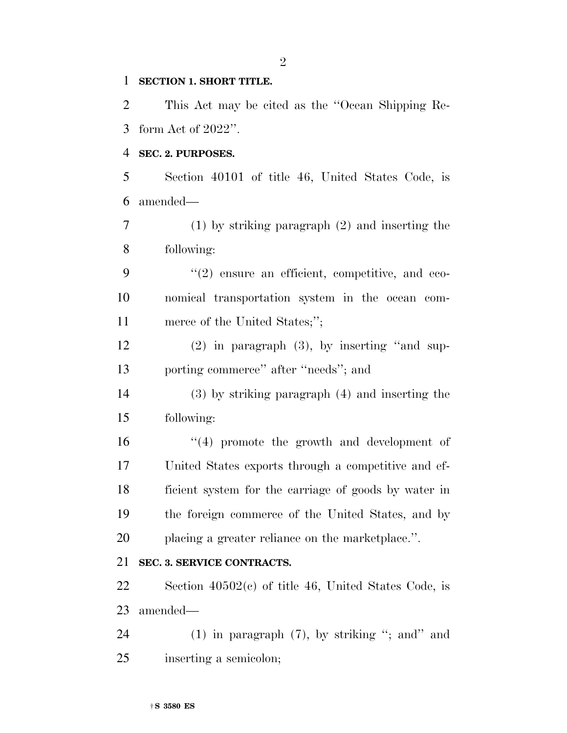#### **SECTION 1. SHORT TITLE.**

 This Act may be cited as the ''Ocean Shipping Re-form Act of 2022''.

#### **SEC. 2. PURPOSES.**

 Section 40101 of title 46, United States Code, is amended—

 (1) by striking paragraph (2) and inserting the following:

9 "(2) ensure an efficient, competitive, and eco- nomical transportation system in the ocean com-11 merce of the United States;";

 (2) in paragraph (3), by inserting ''and sup-porting commerce'' after ''needs''; and

 (3) by striking paragraph (4) and inserting the following:

16 ''(4) promote the growth and development of United States exports through a competitive and ef- ficient system for the carriage of goods by water in the foreign commerce of the United States, and by placing a greater reliance on the marketplace.''.

#### **SEC. 3. SERVICE CONTRACTS.**

 Section 40502(c) of title 46, United States Code, is amended—

 (1) in paragraph (7), by striking ''; and'' and inserting a semicolon;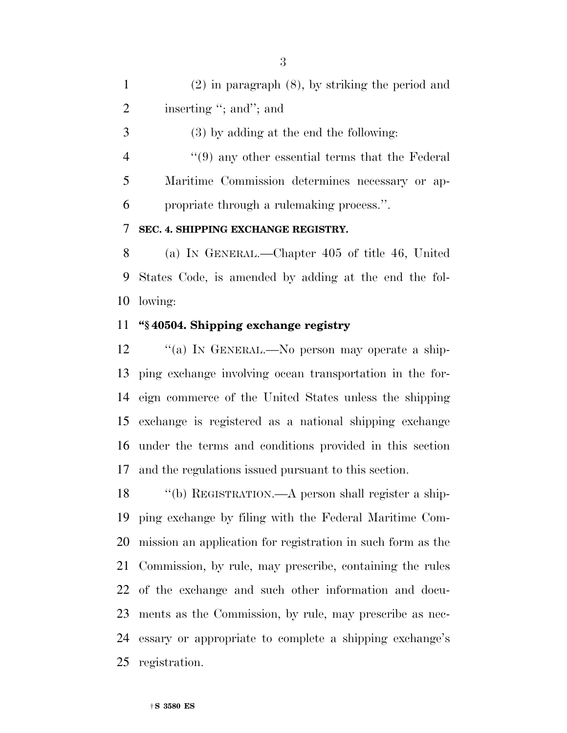(2) in paragraph (8), by striking the period and 2 inserting "; and"; and

(3) by adding at the end the following:

 ''(9) any other essential terms that the Federal Maritime Commission determines necessary or ap-propriate through a rulemaking process.''.

#### **SEC. 4. SHIPPING EXCHANGE REGISTRY.**

 (a) IN GENERAL.—Chapter 405 of title 46, United States Code, is amended by adding at the end the fol-lowing:

#### **''§ 40504. Shipping exchange registry**

12 "(a) In GENERAL.—No person may operate a ship- ping exchange involving ocean transportation in the for- eign commerce of the United States unless the shipping exchange is registered as a national shipping exchange under the terms and conditions provided in this section and the regulations issued pursuant to this section.

 ''(b) REGISTRATION.—A person shall register a ship- ping exchange by filing with the Federal Maritime Com- mission an application for registration in such form as the Commission, by rule, may prescribe, containing the rules of the exchange and such other information and docu- ments as the Commission, by rule, may prescribe as nec- essary or appropriate to complete a shipping exchange's registration.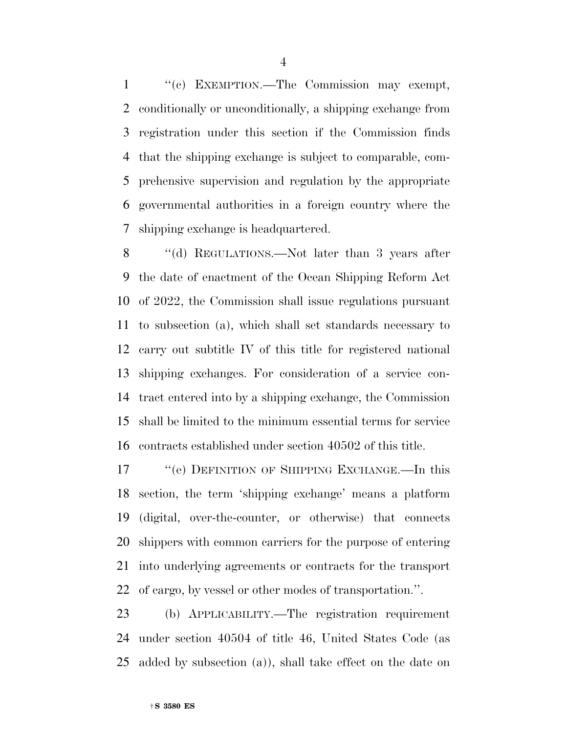1 "(c) EXEMPTION.—The Commission may exempt, conditionally or unconditionally, a shipping exchange from registration under this section if the Commission finds that the shipping exchange is subject to comparable, com- prehensive supervision and regulation by the appropriate governmental authorities in a foreign country where the shipping exchange is headquartered.

8 "(d) REGULATIONS.—Not later than 3 years after the date of enactment of the Ocean Shipping Reform Act of 2022, the Commission shall issue regulations pursuant to subsection (a), which shall set standards necessary to carry out subtitle IV of this title for registered national shipping exchanges. For consideration of a service con- tract entered into by a shipping exchange, the Commission shall be limited to the minimum essential terms for service contracts established under section 40502 of this title.

 ''(e) DEFINITION OF SHIPPING EXCHANGE.—In this section, the term 'shipping exchange' means a platform (digital, over-the-counter, or otherwise) that connects shippers with common carriers for the purpose of entering into underlying agreements or contracts for the transport of cargo, by vessel or other modes of transportation.''.

 (b) APPLICABILITY.—The registration requirement under section 40504 of title 46, United States Code (as added by subsection (a)), shall take effect on the date on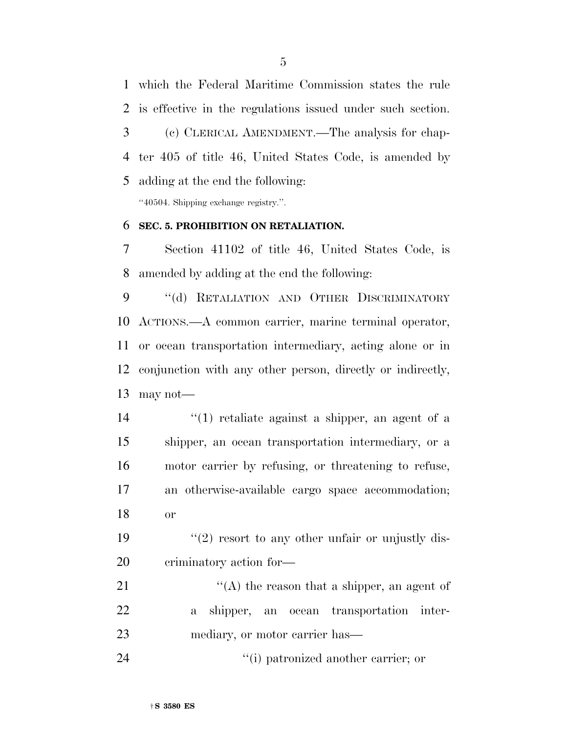which the Federal Maritime Commission states the rule is effective in the regulations issued under such section. (c) CLERICAL AMENDMENT.—The analysis for chap- ter 405 of title 46, United States Code, is amended by adding at the end the following: ''40504. Shipping exchange registry.''.

#### **SEC. 5. PROHIBITION ON RETALIATION.**

 Section 41102 of title 46, United States Code, is amended by adding at the end the following:

9 "(d) RETALIATION AND OTHER DISCRIMINATORY ACTIONS.—A common carrier, marine terminal operator, or ocean transportation intermediary, acting alone or in conjunction with any other person, directly or indirectly, may not—

 $\frac{1}{2}$  (1) retaliate against a shipper, an agent of a shipper, an ocean transportation intermediary, or a motor carrier by refusing, or threatening to refuse, an otherwise-available cargo space accommodation; or

19  $\frac{1}{2}$  resort to any other unfair or unjustly dis-criminatory action for—

21  $\langle (A)$  the reason that a shipper, an agent of a shipper, an ocean transportation inter-mediary, or motor carrier has—

24 ''(i) patronized another carrier; or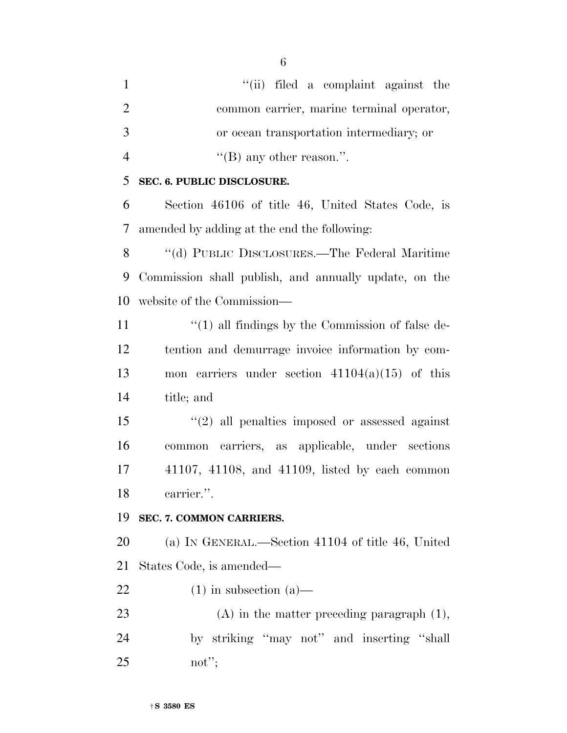1 ''(ii) filed a complaint against the common carrier, marine terminal operator, or ocean transportation intermediary; or  $"$ (B) any other reason.".

#### **SEC. 6. PUBLIC DISCLOSURE.**

 Section 46106 of title 46, United States Code, is amended by adding at the end the following:

 ''(d) PUBLIC DISCLOSURES.—The Federal Maritime Commission shall publish, and annually update, on the website of the Commission—

11 ''(1) all findings by the Commission of false de- tention and demurrage invoice information by com- mon carriers under section 41104(a)(15) of this title; and

 ''(2) all penalties imposed or assessed against common carriers, as applicable, under sections 41107, 41108, and 41109, listed by each common carrier.''.

#### **SEC. 7. COMMON CARRIERS.**

 (a) IN GENERAL.—Section 41104 of title 46, United States Code, is amended—

22 (1) in subsection  $(a)$ —

 (A) in the matter preceding paragraph (1), by striking ''may not'' and inserting ''shall not'';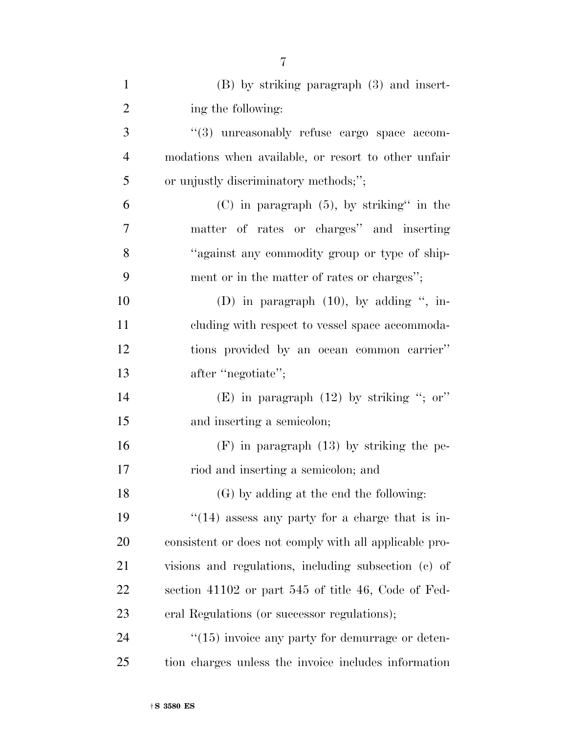| $\mathbf{1}$   | $(B)$ by striking paragraph $(3)$ and insert-          |
|----------------|--------------------------------------------------------|
| $\overline{2}$ | ing the following:                                     |
| 3              | $\lq(3)$ unreasonably refuse cargo space accom-        |
| $\overline{4}$ | modations when available, or resort to other unfair    |
| 5              | or unjustly discriminatory methods;";                  |
| 6              | $(C)$ in paragraph $(5)$ , by striking" in the         |
| 7              | matter of rates or charges" and inserting              |
| 8              | "against any commodity group or type of ship-          |
| 9              | ment or in the matter of rates or charges";            |
| 10             | (D) in paragraph $(10)$ , by adding ", in-             |
| 11             | cluding with respect to vessel space accommoda-        |
| 12             | tions provided by an ocean common carrier"             |
| 13             | after "negotiate";                                     |
| 14             | (E) in paragraph $(12)$ by striking "; or"             |
| 15             | and inserting a semicolon;                             |
| 16             | $(F)$ in paragraph $(13)$ by striking the pe-          |
| 17             | riod and inserting a semicolon; and                    |
| 18             | (G) by adding at the end the following:                |
| 19             | $\lq(14)$ assess any party for a charge that is in-    |
| 20             | consistent or does not comply with all applicable pro- |
| 21             | visions and regulations, including subsection (c) of   |
| 22             | section 41102 or part 545 of title 46, Code of Fed-    |
| 23             | eral Regulations (or successor regulations);           |
| 24             | $"(15)$ invoice any party for demurrage or deten-      |
| 25             | tion charges unless the invoice includes information   |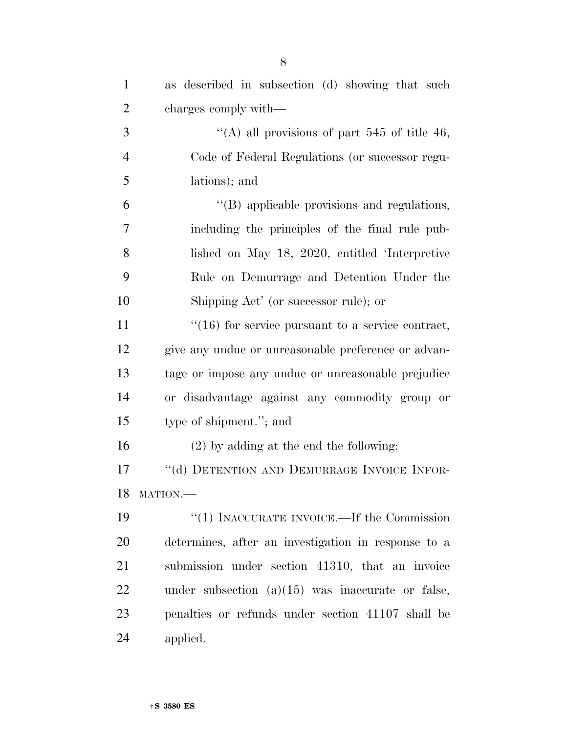| $\mathbf{1}$   | as described in subsection (d) showing that such    |
|----------------|-----------------------------------------------------|
| $\overline{2}$ | charges comply with—                                |
| 3              | "(A) all provisions of part 545 of title 46,        |
| $\overline{4}$ | Code of Federal Regulations (or successor regu-     |
| 5              | lations); and                                       |
| 6              | "(B) applicable provisions and regulations,         |
| 7              | including the principles of the final rule pub-     |
| 8              | lished on May 18, 2020, entitled 'Interpretive      |
| 9              | Rule on Demurrage and Detention Under the           |
| 10             | Shipping Act' (or successor rule); or               |
| 11             | $"(16)$ for service pursuant to a service contract, |
| 12             | give any undue or unreasonable preference or advan- |
| 13             | tage or impose any undue or unreasonable prejudice  |
| 14             | or disadvantage against any commodity group or      |
| 15             | type of shipment."; and                             |
| 16             | $(2)$ by adding at the end the following:           |
| 17             | "(d) DETENTION AND DEMURRAGE INVOICE INFOR-         |
|                | 18 MATION.-                                         |
| 19             | "(1) INACCURATE INVOICE.—If the Commission          |
| 20             | determines, after an investigation in response to a |
| 21             | submission under section 41310, that an invoice     |
| 22             | under subsection $(a)(15)$ was inaccurate or false, |
| 23             | penalties or refunds under section 41107 shall be   |
| 24             | applied.                                            |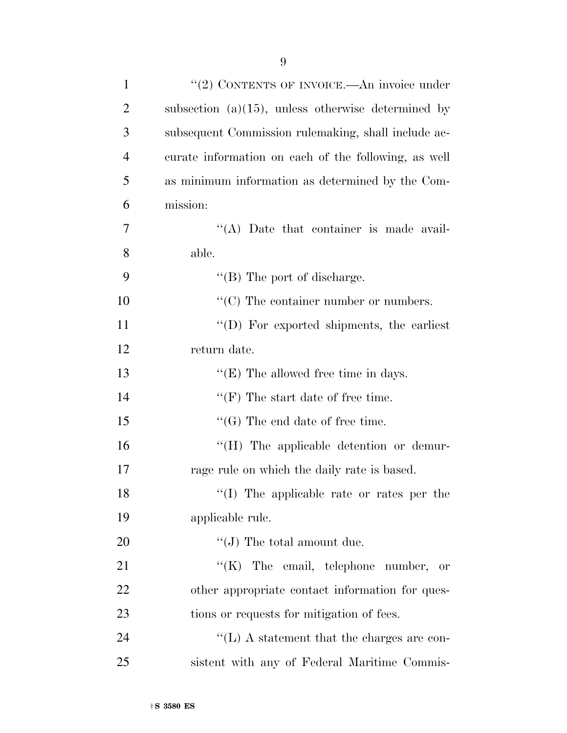| $\mathbf{1}$   | "(2) CONTENTS OF INVOICE.—An invoice under            |
|----------------|-------------------------------------------------------|
| $\overline{2}$ | subsection $(a)(15)$ , unless otherwise determined by |
| 3              | subsequent Commission rulemaking, shall include ac-   |
| $\overline{4}$ | curate information on each of the following, as well  |
| 5              | as minimum information as determined by the Com-      |
| 6              | mission:                                              |
| $\tau$         | $\lq\lq$ . Date that container is made avail-         |
| 8              | able.                                                 |
| 9              | $\lq\lq$ (B) The port of discharge.                   |
| 10             | $\lq\lq$ (C) The container number or numbers.         |
| 11             | "(D) For exported shipments, the earliest             |
| 12             | return date.                                          |
| 13             | $\lq\lq(E)$ The allowed free time in days.            |
| 14             | $\lq\lq(F)$ The start date of free time.              |
| 15             | $\lq\lq(G)$ The end date of free time.                |
| 16             | "(H) The applicable detention or demur-               |
| 17             | rage rule on which the daily rate is based.           |
| 18             | $\lq\lq$ (I) The applicable rate or rates per the     |
| 19             | applicable rule.                                      |
| 20             | $\lq\lq (J)$ The total amount due.                    |
| 21             | " $(K)$ The email, telephone number, or               |
| 22             | other appropriate contact information for ques-       |
| 23             | tions or requests for mitigation of fees.             |
| 24             | $\lq\lq$ . A statement that the charges are con-      |
| 25             | sistent with any of Federal Maritime Commis-          |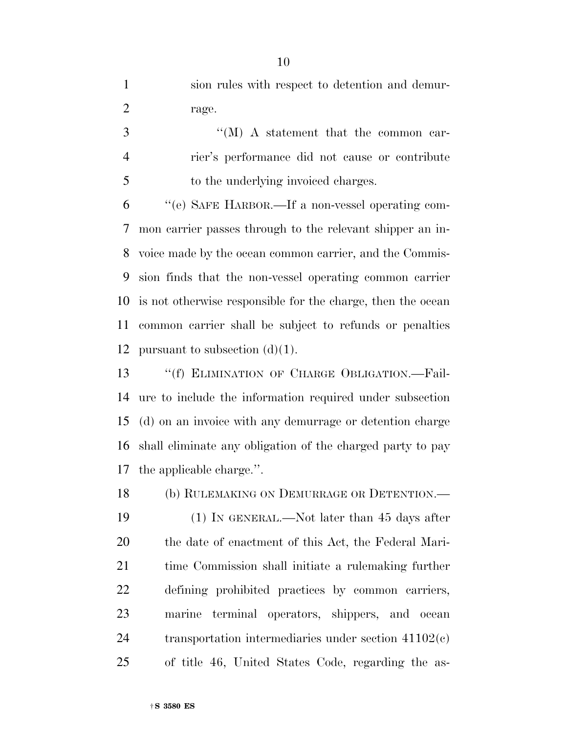sion rules with respect to detention and demur-2 rage.

3 ''(M) A statement that the common car- rier's performance did not cause or contribute to the underlying invoiced charges.

 ''(e) SAFE HARBOR.—If a non-vessel operating com- mon carrier passes through to the relevant shipper an in- voice made by the ocean common carrier, and the Commis- sion finds that the non-vessel operating common carrier is not otherwise responsible for the charge, then the ocean common carrier shall be subject to refunds or penalties 12 pursuant to subsection  $(d)(1)$ .

13 "(f) ELIMINATION OF CHARGE OBLIGATION.—Fail- ure to include the information required under subsection (d) on an invoice with any demurrage or detention charge shall eliminate any obligation of the charged party to pay the applicable charge.''.

(b) RULEMAKING ON DEMURRAGE OR DETENTION.—

 (1) IN GENERAL.—Not later than 45 days after the date of enactment of this Act, the Federal Mari- time Commission shall initiate a rulemaking further defining prohibited practices by common carriers, marine terminal operators, shippers, and ocean transportation intermediaries under section 41102(c) of title 46, United States Code, regarding the as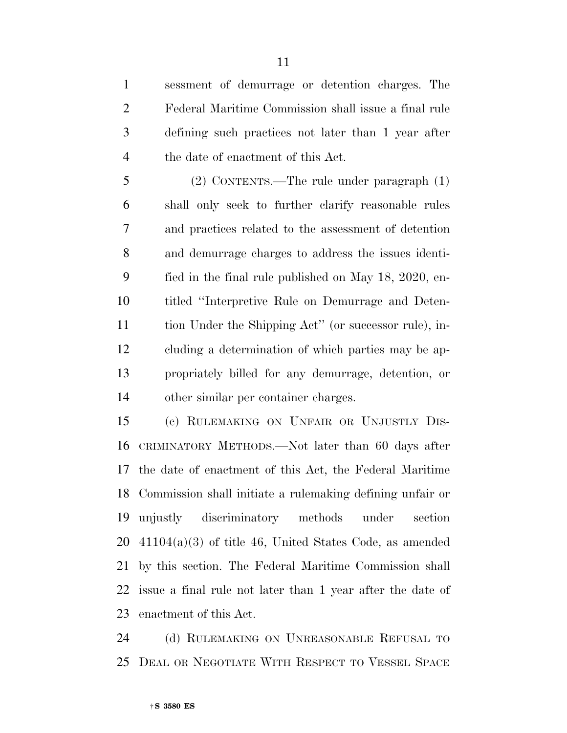sessment of demurrage or detention charges. The Federal Maritime Commission shall issue a final rule defining such practices not later than 1 year after the date of enactment of this Act.

 (2) CONTENTS.—The rule under paragraph (1) shall only seek to further clarify reasonable rules and practices related to the assessment of detention and demurrage charges to address the issues identi- fied in the final rule published on May 18, 2020, en- titled ''Interpretive Rule on Demurrage and Deten- tion Under the Shipping Act'' (or successor rule), in- cluding a determination of which parties may be ap- propriately billed for any demurrage, detention, or other similar per container charges.

 (c) RULEMAKING ON UNFAIR OR UNJUSTLY DIS- CRIMINATORY METHODS.—Not later than 60 days after the date of enactment of this Act, the Federal Maritime Commission shall initiate a rulemaking defining unfair or unjustly discriminatory methods under section 41104(a)(3) of title 46, United States Code, as amended by this section. The Federal Maritime Commission shall issue a final rule not later than 1 year after the date of enactment of this Act.

24 (d) RULEMAKING ON UNREASONABLE REFUSAL TO DEAL OR NEGOTIATE WITH RESPECT TO VESSEL SPACE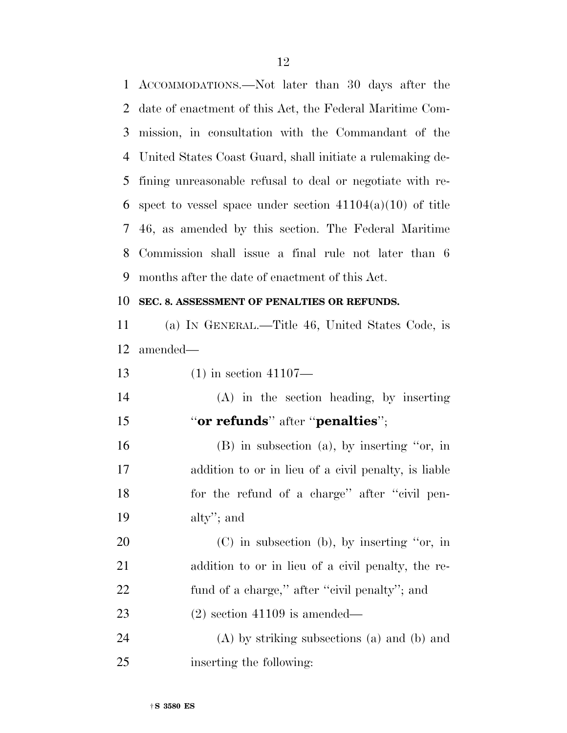ACCOMMODATIONS.—Not later than 30 days after the date of enactment of this Act, the Federal Maritime Com- mission, in consultation with the Commandant of the United States Coast Guard, shall initiate a rulemaking de- fining unreasonable refusal to deal or negotiate with re-6 spect to vessel space under section  $41104(a)(10)$  of title 46, as amended by this section. The Federal Maritime Commission shall issue a final rule not later than 6 months after the date of enactment of this Act.

#### **SEC. 8. ASSESSMENT OF PENALTIES OR REFUNDS.**

 (a) IN GENERAL.—Title 46, United States Code, is amended—

(1) in section 41107—

 (A) in the section heading, by inserting ''**or refunds**'' after ''**penalties**'';

 (B) in subsection (a), by inserting ''or, in addition to or in lieu of a civil penalty, is liable 18 for the refund of a charge" after "civil pen-alty''; and

 (C) in subsection (b), by inserting ''or, in addition to or in lieu of a civil penalty, the re- fund of a charge,'' after ''civil penalty''; and (2) section 41109 is amended—

 (A) by striking subsections (a) and (b) and inserting the following: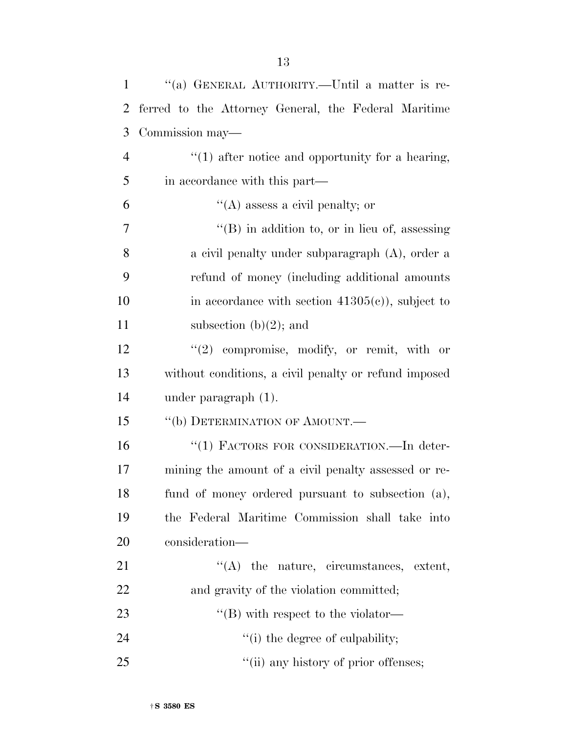| $\mathbf{1}$   | "(a) GENERAL AUTHORITY.—Until a matter is re-         |
|----------------|-------------------------------------------------------|
| $\overline{2}$ | ferred to the Attorney General, the Federal Maritime  |
| 3              | Commission may—                                       |
| $\overline{4}$ | $"(1)$ after notice and opportunity for a hearing,    |
| 5              | in accordance with this part—                         |
| 6              | $\lq\lq$ (A) assess a civil penalty; or               |
| 7              | $\lq\lq$ (B) in addition to, or in lieu of, assessing |
| 8              | a civil penalty under subparagraph $(A)$ , order a    |
| 9              | refund of money (including additional amounts         |
| 10             | in accordance with section $41305(c)$ , subject to    |
| 11             | subsection $(b)(2)$ ; and                             |
| 12             | $(2)$ compromise, modify, or remit, with or           |
| 13             | without conditions, a civil penalty or refund imposed |
| 14             | under paragraph $(1)$ .                               |
| 15             | "(b) DETERMINATION OF AMOUNT. $-$                     |
| 16             | "(1) FACTORS FOR CONSIDERATION.—In deter-             |
| 17             | mining the amount of a civil penalty assessed or re-  |
| 18             | fund of money ordered pursuant to subsection (a),     |
| 19             | the Federal Maritime Commission shall take into       |
| 20             | consideration—                                        |
| 21             | $\lq\lq$ the nature, circumstances, extent,           |
| 22             | and gravity of the violation committed;               |
| 23             | $\lq$ (B) with respect to the violator-               |
| 24             | "(i) the degree of culpability;                       |
| 25             | "(ii) any history of prior offenses;                  |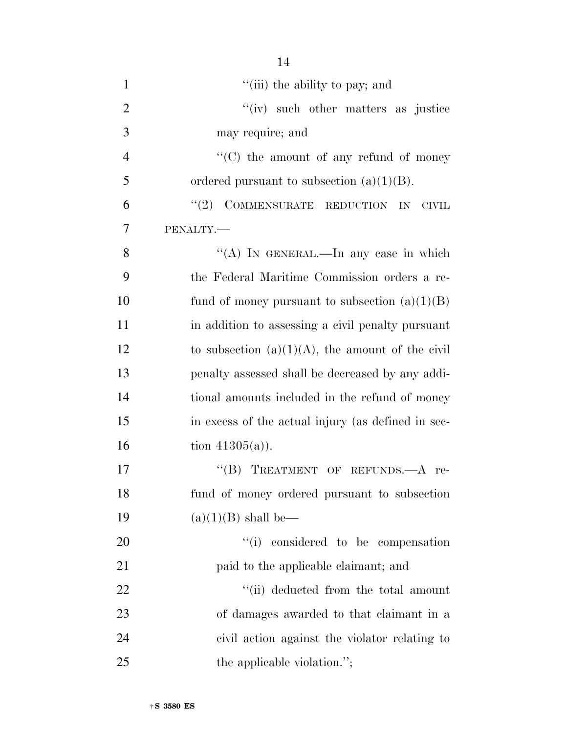| $\mathbf{1}$   | "(iii) the ability to pay; and                      |
|----------------|-----------------------------------------------------|
| $\overline{2}$ | "(iv) such other matters as justice                 |
| 3              | may require; and                                    |
| $\overline{4}$ | $\lq\lq$ (C) the amount of any refund of money      |
| 5              | ordered pursuant to subsection $(a)(1)(B)$ .        |
| 6              | COMMENSURATE REDUCTION IN<br>(2)<br><b>CIVIL</b>    |
| $\overline{7}$ | PENALTY.-                                           |
| 8              | "(A) IN GENERAL.—In any case in which               |
| 9              | the Federal Maritime Commission orders a re-        |
| 10             | fund of money pursuant to subsection $(a)(1)(B)$    |
| 11             | in addition to assessing a civil penalty pursuant   |
| 12             | to subsection $(a)(1)(A)$ , the amount of the civil |
| 13             | penalty assessed shall be decreased by any addi-    |
| 14             | tional amounts included in the refund of money      |
| 15             | in excess of the actual injury (as defined in sec-  |
| 16             | tion $41305(a)$ ).                                  |
| 17             | TREATMENT OF REFUNDS. A re-<br>$\lq\lq (B)$         |
| 18             | fund of money ordered pursuant to subsection        |
| 19             | $(a)(1)(B)$ shall be—                               |
| 20             | "(i) considered to be compensation                  |
| 21             | paid to the applicable claimant; and                |
| 22             | "(ii) deducted from the total amount                |
| 23             | of damages awarded to that claimant in a            |
| 24             | civil action against the violator relating to       |
| 25             | the applicable violation.";                         |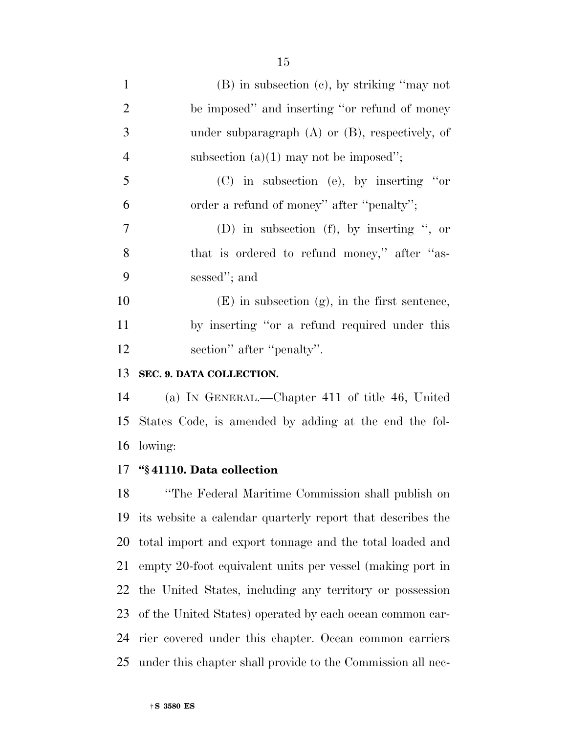| $\mathbf{1}$   | $(B)$ in subsection $(c)$ , by striking "may not     |
|----------------|------------------------------------------------------|
| $\overline{2}$ | be imposed" and inserting "or refund of money"       |
| 3              | under subparagraph $(A)$ or $(B)$ , respectively, of |
| $\overline{4}$ | subsection $(a)(1)$ may not be imposed";             |
| 5              | $(C)$ in subsection (e), by inserting "or            |
| 6              | order a refund of money" after "penalty";            |
| 7              | (D) in subsection (f), by inserting ", or            |
| 8              | that is ordered to refund money," after "as-         |
| 9              | sessed"; and                                         |
| 10             | $(E)$ in subsection $(g)$ , in the first sentence,   |
| 11             | by inserting "or a refund required under this        |
| 12             | section" after "penalty".                            |
|                |                                                      |

#### **SEC. 9. DATA COLLECTION.**

 (a) IN GENERAL.—Chapter 411 of title 46, United States Code, is amended by adding at the end the fol-lowing:

#### **''§ 41110. Data collection**

 ''The Federal Maritime Commission shall publish on its website a calendar quarterly report that describes the total import and export tonnage and the total loaded and empty 20-foot equivalent units per vessel (making port in the United States, including any territory or possession of the United States) operated by each ocean common car- rier covered under this chapter. Ocean common carriers under this chapter shall provide to the Commission all nec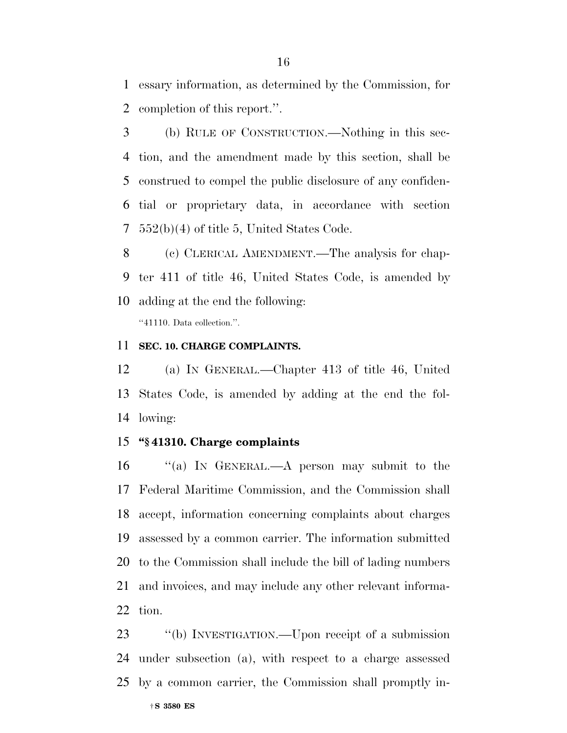essary information, as determined by the Commission, for completion of this report.''.

 (b) RULE OF CONSTRUCTION.—Nothing in this sec- tion, and the amendment made by this section, shall be construed to compel the public disclosure of any confiden- tial or proprietary data, in accordance with section 552(b)(4) of title 5, United States Code.

- (c) CLERICAL AMENDMENT.—The analysis for chap-
- ter 411 of title 46, United States Code, is amended by
- adding at the end the following: ''41110. Data collection.''.

#### **SEC. 10. CHARGE COMPLAINTS.**

 (a) IN GENERAL.—Chapter 413 of title 46, United States Code, is amended by adding at the end the fol-lowing:

#### **''§ 41310. Charge complaints**

 ''(a) IN GENERAL.—A person may submit to the Federal Maritime Commission, and the Commission shall accept, information concerning complaints about charges assessed by a common carrier. The information submitted to the Commission shall include the bill of lading numbers and invoices, and may include any other relevant informa-tion.

†**S 3580 ES** ''(b) INVESTIGATION.—Upon receipt of a submission under subsection (a), with respect to a charge assessed by a common carrier, the Commission shall promptly in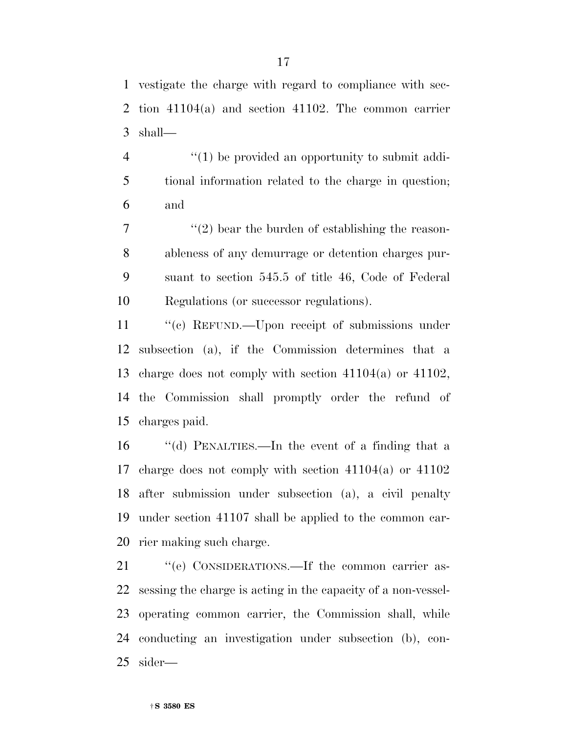vestigate the charge with regard to compliance with sec- tion 41104(a) and section 41102. The common carrier shall—

4  $\langle (1)$  be provided an opportunity to submit addi- tional information related to the charge in question; and

 $\mathcal{T}$  ''(2) bear the burden of establishing the reason- ableness of any demurrage or detention charges pur- suant to section 545.5 of title 46, Code of Federal Regulations (or successor regulations).

11 "(c) REFUND.—Upon receipt of submissions under subsection (a), if the Commission determines that a charge does not comply with section 41104(a) or 41102, the Commission shall promptly order the refund of charges paid.

 ''(d) PENALTIES.—In the event of a finding that a charge does not comply with section 41104(a) or 41102 after submission under subsection (a), a civil penalty under section 41107 shall be applied to the common car-rier making such charge.

21 "(e) CONSIDERATIONS.—If the common carrier as- sessing the charge is acting in the capacity of a non-vessel- operating common carrier, the Commission shall, while conducting an investigation under subsection (b), con-sider—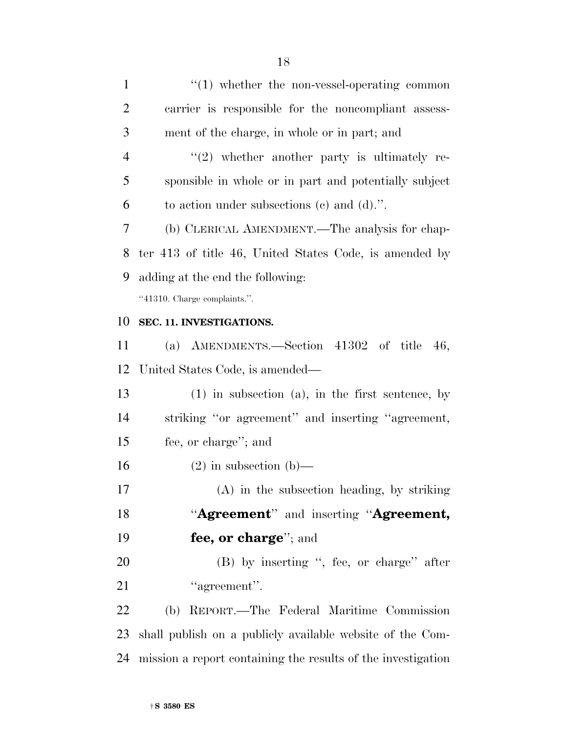$\cdot$  (1) whether the non-vessel-operating common carrier is responsible for the noncompliant assess- ment of the charge, in whole or in part; and 4 "(2) whether another party is ultimately re- sponsible in whole or in part and potentially subject to action under subsections (c) and (d).''. (b) CLERICAL AMENDMENT.—The analysis for chap- ter 413 of title 46, United States Code, is amended by adding at the end the following: ''41310. Charge complaints.''. **SEC. 11. INVESTIGATIONS.**  (a) AMENDMENTS.—Section 41302 of title 46, United States Code, is amended— (1) in subsection (a), in the first sentence, by striking ''or agreement'' and inserting ''agreement, fee, or charge''; and 16 (2) in subsection (b)— (A) in the subsection heading, by striking ''**Agreement**'' and inserting ''**Agreement, fee, or charge**''; and (B) by inserting '', fee, or charge'' after 21 "agreement". (b) REPORT.—The Federal Maritime Commission shall publish on a publicly available website of the Com-

mission a report containing the results of the investigation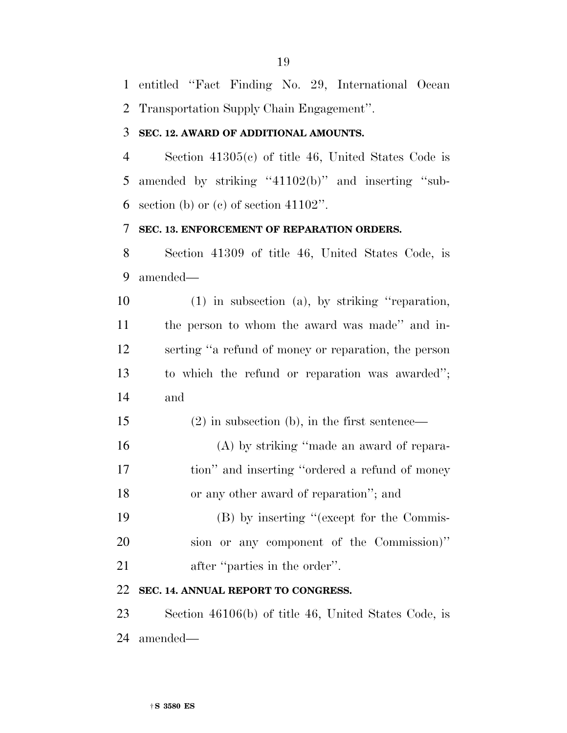entitled ''Fact Finding No. 29, International Ocean Transportation Supply Chain Engagement''.

#### **SEC. 12. AWARD OF ADDITIONAL AMOUNTS.**

 Section 41305(c) of title 46, United States Code is 5 amended by striking "41102(b)" and inserting "sub-6 section (b) or (c) of section ".

#### **SEC. 13. ENFORCEMENT OF REPARATION ORDERS.**

 Section 41309 of title 46, United States Code, is amended—

 (1) in subsection (a), by striking ''reparation, the person to whom the award was made'' and in- serting ''a refund of money or reparation, the person to which the refund or reparation was awarded''; and

- (2) in subsection (b), in the first sentence—
- (A) by striking ''made an award of repara-17 tion" and inserting "ordered a refund of money or any other award of reparation''; and
- (B) by inserting ''(except for the Commis- sion or any component of the Commission)'' 21 after "parties in the order".

#### **SEC. 14. ANNUAL REPORT TO CONGRESS.**

 Section 46106(b) of title 46, United States Code, is amended—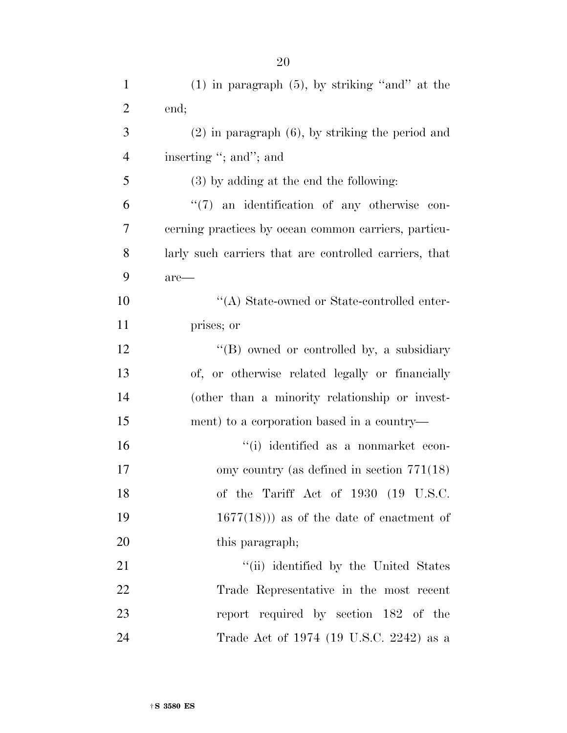| $\mathbf{1}$   | $(1)$ in paragraph $(5)$ , by striking "and" at the    |
|----------------|--------------------------------------------------------|
| $\overline{2}$ | end;                                                   |
| 3              | $(2)$ in paragraph $(6)$ , by striking the period and  |
| $\overline{4}$ | inserting "; and"; and                                 |
| 5              | $(3)$ by adding at the end the following:              |
| 6              | $\lq(7)$ an identification of any otherwise con-       |
| 7              | cerning practices by ocean common carriers, particu-   |
| 8              | larly such carriers that are controlled carriers, that |
| 9              | $are-$                                                 |
| 10             | "(A) State-owned or State-controlled enter-            |
| 11             | prises; or                                             |
| 12             | "(B) owned or controlled by, a subsidiary              |
| 13             | of, or otherwise related legally or financially        |
| 14             | (other than a minority relationship or invest-         |
| 15             | ment) to a corporation based in a country—             |
| 16             | "(i) identified as a nonmarket econ-                   |
| 17             | omy country (as defined in section $771(18)$ )         |
| 18             | of the Tariff Act of 1930 (19 U.S.C.                   |
| 19             | $1677(18)$ ) as of the date of enactment of            |
| 20             | this paragraph;                                        |
| 21             | "(ii) identified by the United States                  |
| 22             | Trade Representative in the most recent                |
| 23             | report required by section 182 of the                  |
| 24             | Trade Act of 1974 (19 U.S.C. 2242) as a                |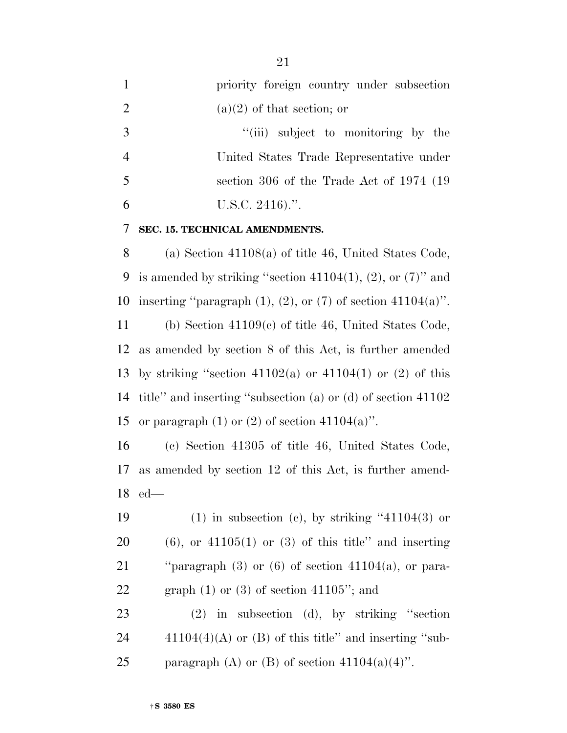|                | priority foreign country under subsection |
|----------------|-------------------------------------------|
| 2              | $(a)(2)$ of that section; or              |
| -3             | "(iii) subject to monitoring by the       |
| $\overline{4}$ | United States Trade Representative under  |
| 5              | section 306 of the Trade Act of 1974 (19) |
|                | U.S.C. $2416$ .".                         |

#### **SEC. 15. TECHNICAL AMENDMENTS.**

 (a) Section 41108(a) of title 46, United States Code, 9 is amended by striking "section  $41104(1)$ ,  $(2)$ , or  $(7)$ " and 10 inserting "paragraph  $(1)$ ,  $(2)$ , or  $(7)$  of section  $41104(a)$ ". (b) Section 41109(c) of title 46, United States Code,

 as amended by section 8 of this Act, is further amended 13 by striking "section  $41102(a)$  or  $41104(1)$  or  $(2)$  of this title'' and inserting ''subsection (a) or (d) of section 41102 15 or paragraph  $(1)$  or  $(2)$  of section  $41104(a)$ ".

 (c) Section 41305 of title 46, United States Code, as amended by section 12 of this Act, is further amend-ed—

19 (1) in subsection (c), by striking  $(41104(3)$  or (6), or  $41105(1)$  or (3) of this title" and inserting ''paragraph (3) or (6) of section 41104(a), or para-22 graph  $(1)$  or  $(3)$  of section 41105"; and

 (2) in subsection (d), by striking ''section 24  $41104(4)(A)$  or (B) of this title" and inserting "sub-25 paragraph (A) or (B) of section  $41104(a)(4)$ ".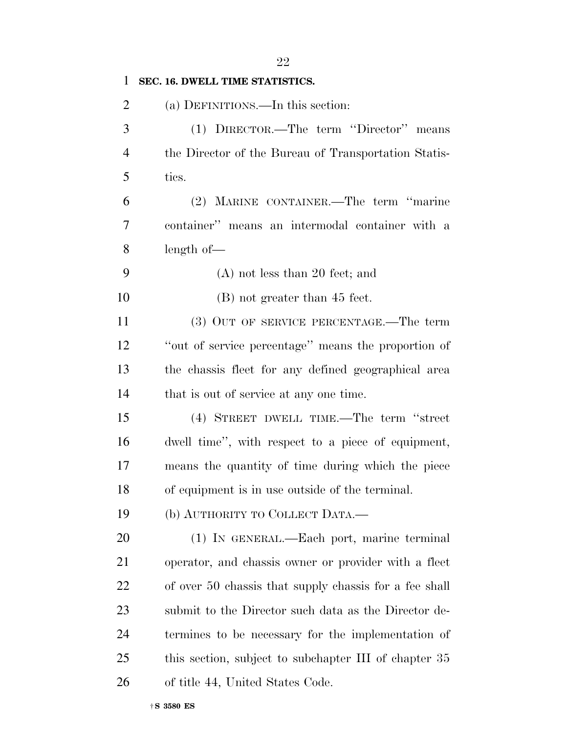| $\mathbf{1}$   | SEC. 16. DWELL TIME STATISTICS.                        |
|----------------|--------------------------------------------------------|
| $\overline{2}$ | (a) DEFINITIONS.—In this section:                      |
| 3              | (1) DIRECTOR.—The term "Director" means                |
| $\overline{4}$ | the Director of the Bureau of Transportation Statis-   |
| 5              | tics.                                                  |
| 6              | (2) MARINE CONTAINER.—The term "marine"                |
| 7              | container" means an intermodal container with a        |
| 8              | length of                                              |
| 9              | $(A)$ not less than 20 feet; and                       |
| 10             | $(B)$ not greater than 45 feet.                        |
| 11             | (3) OUT OF SERVICE PERCENTAGE.—The term                |
| 12             | "out of service percentage" means the proportion of    |
| 13             | the chassis fleet for any defined geographical area    |
| 14             | that is out of service at any one time.                |
| 15             | (4) STREET DWELL TIME.—The term "street                |
| 16             | dwell time", with respect to a piece of equipment,     |
| 17             | means the quantity of time during which the piece      |
| 18             | of equipment is in use outside of the terminal.        |
| 19             | (b) AUTHORITY TO COLLECT DATA.—                        |
| 20             | (1) IN GENERAL.—Each port, marine terminal             |
| 21             | operator, and chassis owner or provider with a fleet   |
| 22             | of over 50 chassis that supply chassis for a fee shall |
| 23             | submit to the Director such data as the Director de-   |
| 24             | termines to be necessary for the implementation of     |
| 25             | this section, subject to subchapter III of chapter 35  |
| 26             | of title 44, United States Code.                       |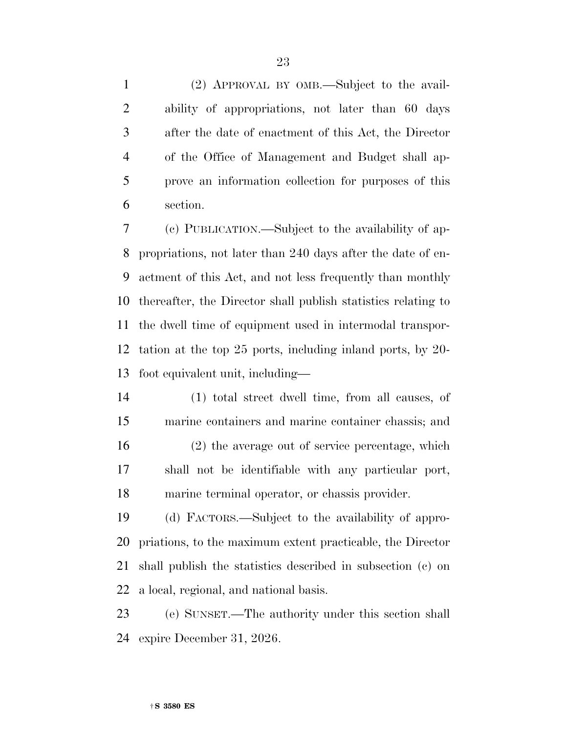(2) APPROVAL BY OMB.—Subject to the avail- ability of appropriations, not later than 60 days after the date of enactment of this Act, the Director of the Office of Management and Budget shall ap- prove an information collection for purposes of this section.

 (c) PUBLICATION.—Subject to the availability of ap- propriations, not later than 240 days after the date of en- actment of this Act, and not less frequently than monthly thereafter, the Director shall publish statistics relating to the dwell time of equipment used in intermodal transpor- tation at the top 25 ports, including inland ports, by 20- foot equivalent unit, including—

 (1) total street dwell time, from all causes, of marine containers and marine container chassis; and (2) the average out of service percentage, which shall not be identifiable with any particular port, marine terminal operator, or chassis provider.

 (d) FACTORS.—Subject to the availability of appro- priations, to the maximum extent practicable, the Director shall publish the statistics described in subsection (c) on a local, regional, and national basis.

 (e) SUNSET.—The authority under this section shall expire December 31, 2026.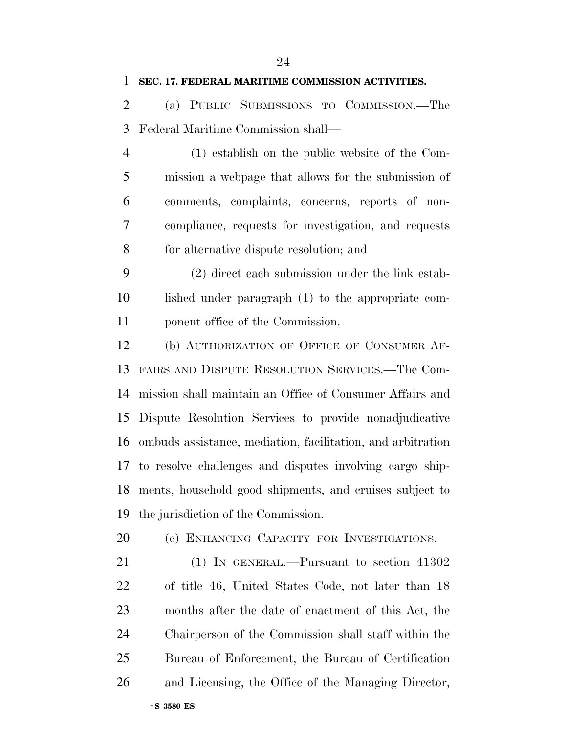| $\mathbf{1}$   | SEC. 17. FEDERAL MARITIME COMMISSION ACTIVITIES.            |
|----------------|-------------------------------------------------------------|
| $\overline{2}$ | (a) PUBLIC SUBMISSIONS TO COMMISSION.—The                   |
| 3              | Federal Maritime Commission shall—                          |
| $\overline{4}$ | (1) establish on the public website of the Com-             |
| 5              | mission a webpage that allows for the submission of         |
| 6              | comments, complaints, concerns, reports of non-             |
| 7              | compliance, requests for investigation, and requests        |
| 8              | for alternative dispute resolution; and                     |
| 9              | (2) direct each submission under the link estab-            |
| 10             | lished under paragraph (1) to the appropriate com-          |
| 11             | ponent office of the Commission.                            |
| 12             | (b) AUTHORIZATION OF OFFICE OF CONSUMER AF-                 |
| 13             | FAIRS AND DISPUTE RESOLUTION SERVICES.—The Com-             |
| 14             | mission shall maintain an Office of Consumer Affairs and    |
| 15             | Dispute Resolution Services to provide nonadjudicative      |
| 16             | ombuds assistance, mediation, facilitation, and arbitration |
|                | 17 to resolve challenges and disputes involving cargo ship- |
|                | 18 ments, household good shipments, and cruises subject to  |
| 19             | the jurisdiction of the Commission.                         |
| 20             | (c) ENHANCING CAPACITY FOR INVESTIGATIONS.                  |
| 21             | (1) IN GENERAL.—Pursuant to section 41302                   |
| 22             | of title 46, United States Code, not later than 18          |
| 23             | months after the date of enactment of this Act, the         |

 Chairperson of the Commission shall staff within the Bureau of Enforcement, the Bureau of Certification and Licensing, the Office of the Managing Director,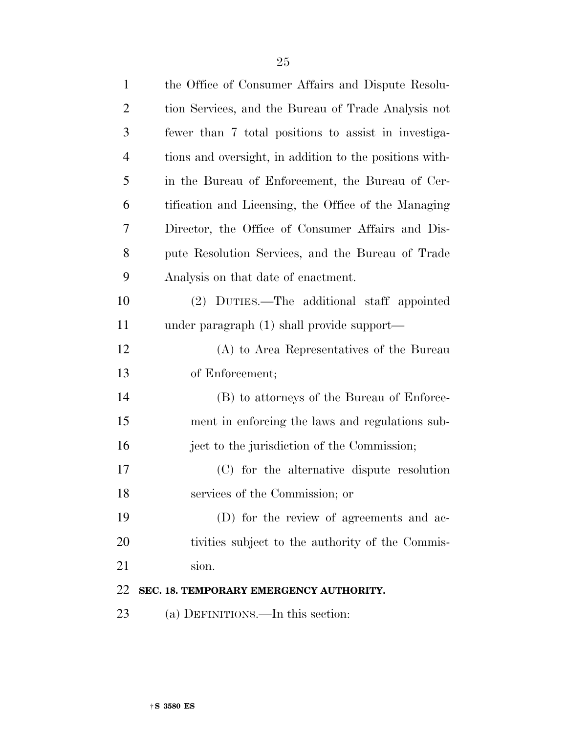| $\mathbf{1}$   | the Office of Consumer Affairs and Dispute Resolu-      |
|----------------|---------------------------------------------------------|
| $\overline{2}$ | tion Services, and the Bureau of Trade Analysis not     |
| 3              | fewer than 7 total positions to assist in investiga-    |
| $\overline{4}$ | tions and oversight, in addition to the positions with- |
| 5              | in the Bureau of Enforcement, the Bureau of Cer-        |
| 6              | tification and Licensing, the Office of the Managing    |
| 7              | Director, the Office of Consumer Affairs and Dis-       |
| 8              | pute Resolution Services, and the Bureau of Trade       |
| 9              | Analysis on that date of enactment.                     |
| 10             | (2) DUTIES.—The additional staff appointed              |
| 11             | under paragraph (1) shall provide support—              |
| 12             | (A) to Area Representatives of the Bureau               |
| 13             | of Enforcement;                                         |
| 14             | (B) to attorneys of the Bureau of Enforce-              |
| 15             | ment in enforcing the laws and regulations sub-         |
| 16             | ject to the jurisdiction of the Commission;             |
| 17             | (C) for the alternative dispute resolution              |
| 18             | services of the Commission; or                          |
| 19             | (D) for the review of agreements and ac-                |
| 20             | tivities subject to the authority of the Commis-        |
| 21             | sion.                                                   |
| 22             | SEC. 18. TEMPORARY EMERGENCY AUTHORITY.                 |
| 23             | (a) DEFINITIONS.—In this section:                       |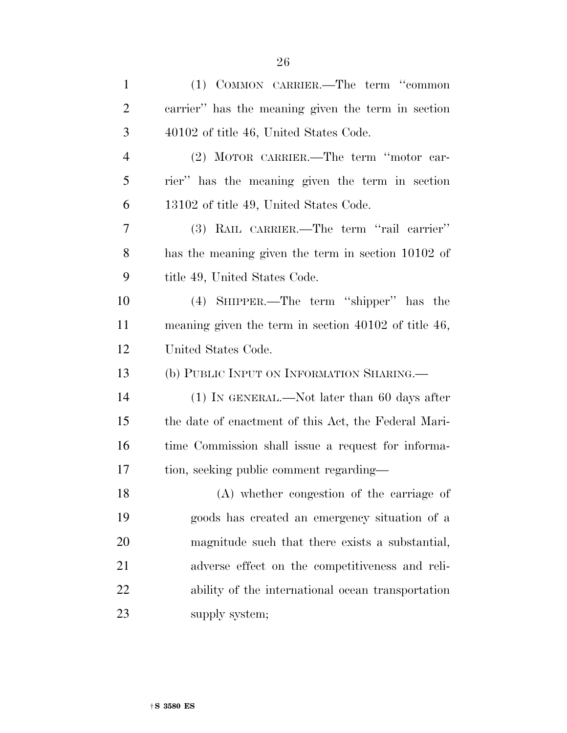| (1) COMMON CARRIER.—The term "common                   |
|--------------------------------------------------------|
| carrier" has the meaning given the term in section     |
| 40102 of title 46, United States Code.                 |
| (2) MOTOR CARRIER.—The term "motor car-                |
| rier" has the meaning given the term in section        |
| 13102 of title 49, United States Code.                 |
| (3) RAIL CARRIER.—The term "rail carrier"              |
| has the meaning given the term in section 10102 of     |
| title 49, United States Code.                          |
| (4) SHIPPER.—The term "shipper" has the                |
| meaning given the term in section $40102$ of title 46, |
| United States Code.                                    |
| (b) PUBLIC INPUT ON INFORMATION SHARING.—              |
| $(1)$ In GENERAL.—Not later than 60 days after         |
| the date of enactment of this Act, the Federal Mari-   |
| time Commission shall issue a request for informa-     |
| tion, seeking public comment regarding—                |
| (A) whether congestion of the carriage of              |
| goods has created an emergency situation of a          |
| magnitude such that there exists a substantial,        |
| adverse effect on the competitiveness and reli-        |
| ability of the international ocean transportation      |
|                                                        |

†**S 3580 ES**

23 supply system;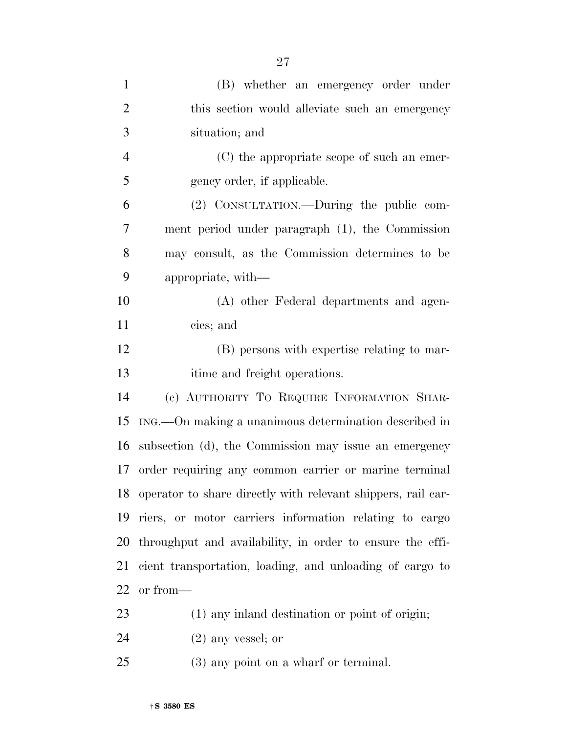| $\mathbf{1}$   | (B) whether an emergency order under                         |
|----------------|--------------------------------------------------------------|
| $\overline{2}$ | this section would alleviate such an emergency               |
| 3              | situation; and                                               |
| $\overline{4}$ | (C) the appropriate scope of such an emer-                   |
| 5              | gency order, if applicable.                                  |
| 6              | (2) CONSULTATION.—During the public com-                     |
| $\overline{7}$ | ment period under paragraph (1), the Commission              |
| 8              | may consult, as the Commission determines to be              |
| 9              | appropriate, with—                                           |
| 10             | (A) other Federal departments and agen-                      |
| 11             | cies; and                                                    |
| 12             | (B) persons with expertise relating to mar-                  |
| 13             | itime and freight operations.                                |
| 14             | (c) AUTHORITY TO REQUIRE INFORMATION SHAR-                   |
| 15             | ING.—On making a unanimous determination described in        |
| 16             | subsection (d), the Commission may issue an emergency        |
| 17             | order requiring any common carrier or marine terminal        |
| 18             | operator to share directly with relevant shippers, rail car- |
| 19             | riers, or motor carriers information relating to cargo       |
| 20             | throughput and availability, in order to ensure the effi-    |
| 21             | cient transportation, loading, and unloading of cargo to     |
| 22             | or from-                                                     |
|                |                                                              |
| 23             | (1) any inland destination or point of origin;               |

(3) any point on a wharf or terminal.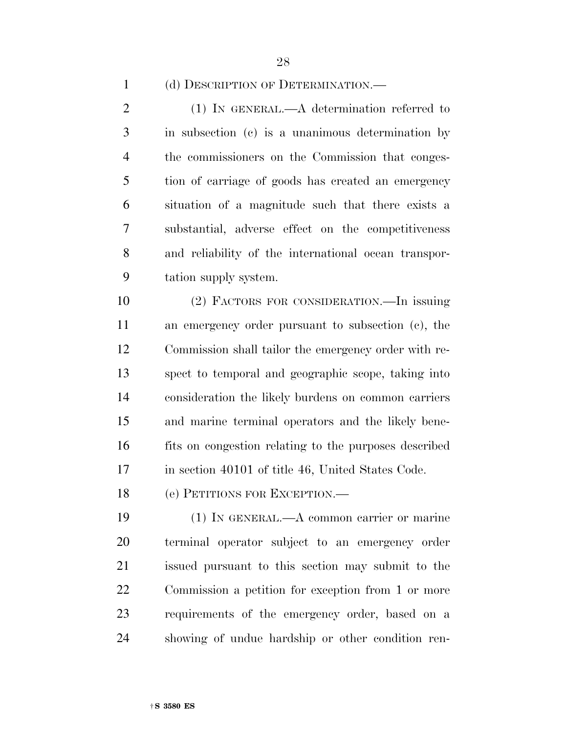(d) DESCRIPTION OF DETERMINATION.—

 (1) IN GENERAL.—A determination referred to in subsection (c) is a unanimous determination by the commissioners on the Commission that conges- tion of carriage of goods has created an emergency situation of a magnitude such that there exists a substantial, adverse effect on the competitiveness and reliability of the international ocean transpor-tation supply system.

 (2) FACTORS FOR CONSIDERATION.—In issuing an emergency order pursuant to subsection (c), the Commission shall tailor the emergency order with re- spect to temporal and geographic scope, taking into consideration the likely burdens on common carriers and marine terminal operators and the likely bene- fits on congestion relating to the purposes described 17 in section 40101 of title 46, United States Code.

(e) PETITIONS FOR EXCEPTION.—

 (1) IN GENERAL.—A common carrier or marine terminal operator subject to an emergency order issued pursuant to this section may submit to the Commission a petition for exception from 1 or more requirements of the emergency order, based on a showing of undue hardship or other condition ren-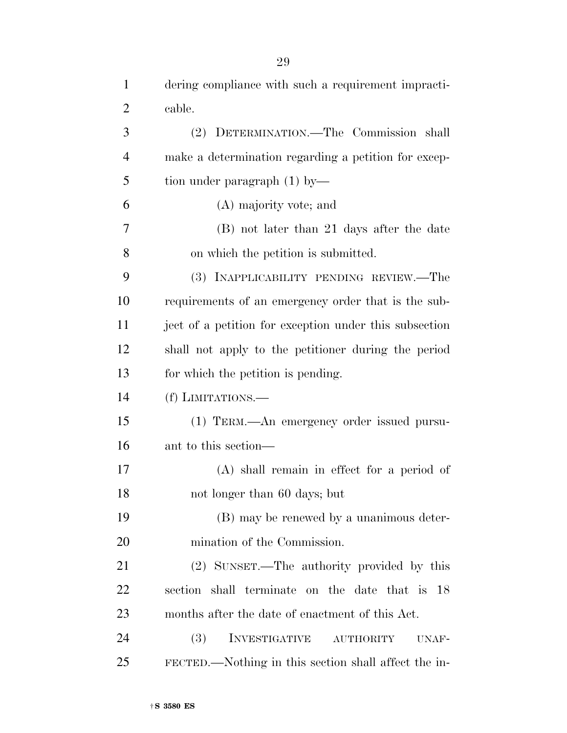| $\overline{2}$ | cable.                                                   |
|----------------|----------------------------------------------------------|
| 3              | (2) DETERMINATION.—The Commission shall                  |
| $\overline{4}$ | make a determination regarding a petition for excep-     |
| 5              | tion under paragraph $(1)$ by—                           |
| 6              | (A) majority vote; and                                   |
| 7              | (B) not later than 21 days after the date                |
| 8              | on which the petition is submitted.                      |
| 9              | (3) INAPPLICABILITY PENDING REVIEW.—The                  |
| 10             | requirements of an emergency order that is the sub-      |
| 11             | ject of a petition for exception under this subsection   |
| 12             | shall not apply to the petitioner during the period      |
| 13             | for which the petition is pending.                       |
| 14             | (f) LIMITATIONS.—                                        |
| 15             | (1) TERM.—An emergency order issued pursu-               |
| 16             | ant to this section—                                     |
| 17             | $(A)$ shall remain in effect for a period of             |
| 18             | not longer than 60 days; but                             |
| 19             | (B) may be renewed by a unanimous deter-                 |
| 20             | mination of the Commission.                              |
| 21             | (2) SUNSET.—The authority provided by this               |
| 22             | section shall terminate on the date that is 18           |
| 23             | months after the date of enactment of this Act.          |
| 24             | <b>(3)</b><br>INVESTIGATIVE<br><b>AUTHORITY</b><br>UNAF- |
| 25             | FECTED.—Nothing in this section shall affect the in-     |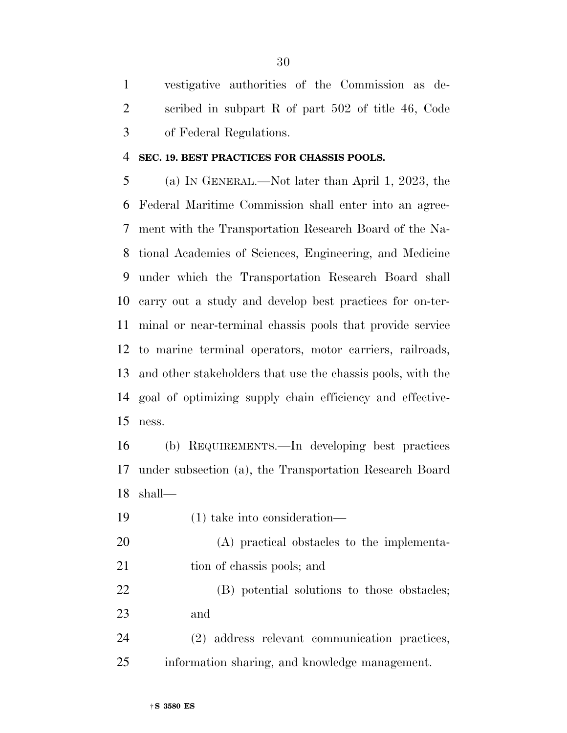vestigative authorities of the Commission as de- scribed in subpart R of part 502 of title 46, Code of Federal Regulations.

#### **SEC. 19. BEST PRACTICES FOR CHASSIS POOLS.**

 (a) IN GENERAL.—Not later than April 1, 2023, the Federal Maritime Commission shall enter into an agree- ment with the Transportation Research Board of the Na- tional Academies of Sciences, Engineering, and Medicine under which the Transportation Research Board shall carry out a study and develop best practices for on-ter- minal or near-terminal chassis pools that provide service to marine terminal operators, motor carriers, railroads, and other stakeholders that use the chassis pools, with the goal of optimizing supply chain efficiency and effective-ness.

 (b) REQUIREMENTS.—In developing best practices under subsection (a), the Transportation Research Board shall—

(1) take into consideration—

 (A) practical obstacles to the implementa-21 tion of chassis pools; and

 (B) potential solutions to those obstacles; and

 (2) address relevant communication practices, information sharing, and knowledge management.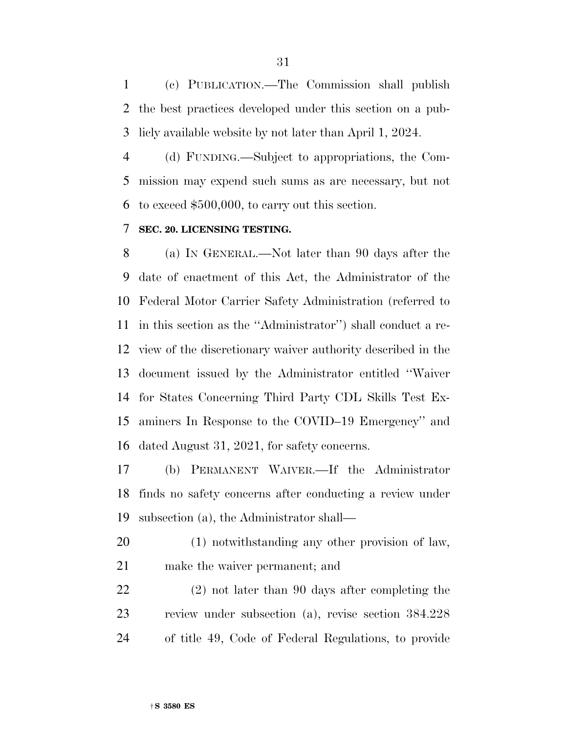(c) PUBLICATION.—The Commission shall publish the best practices developed under this section on a pub-licly available website by not later than April 1, 2024.

 (d) FUNDING.—Subject to appropriations, the Com- mission may expend such sums as are necessary, but not to exceed \$500,000, to carry out this section.

#### **SEC. 20. LICENSING TESTING.**

 (a) IN GENERAL.—Not later than 90 days after the date of enactment of this Act, the Administrator of the Federal Motor Carrier Safety Administration (referred to in this section as the ''Administrator'') shall conduct a re- view of the discretionary waiver authority described in the document issued by the Administrator entitled ''Waiver for States Concerning Third Party CDL Skills Test Ex- aminers In Response to the COVID–19 Emergency'' and dated August 31, 2021, for safety concerns.

 (b) PERMANENT WAIVER.—If the Administrator finds no safety concerns after conducting a review under subsection (a), the Administrator shall—

 (1) notwithstanding any other provision of law, make the waiver permanent; and

 (2) not later than 90 days after completing the review under subsection (a), revise section 384.228 of title 49, Code of Federal Regulations, to provide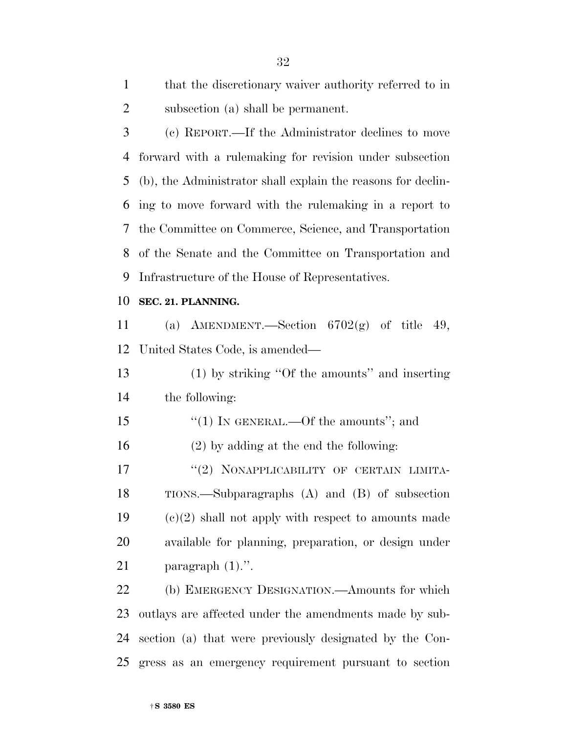| that the discretionary waiver authority referred to in |
|--------------------------------------------------------|
| subsection (a) shall be permanent.                     |

 (c) REPORT.—If the Administrator declines to move forward with a rulemaking for revision under subsection (b), the Administrator shall explain the reasons for declin- ing to move forward with the rulemaking in a report to the Committee on Commerce, Science, and Transportation of the Senate and the Committee on Transportation and Infrastructure of the House of Representatives.

#### **SEC. 21. PLANNING.**

 (a) AMENDMENT.—Section 6702(g) of title 49, United States Code, is amended—

 (1) by striking ''Of the amounts'' and inserting the following:

15 "(1) IN GENERAL.—Of the amounts"; and

(2) by adding at the end the following:

17 "(2) NONAPPLICABILITY OF CERTAIN LIMITA- TIONS.—Subparagraphs (A) and (B) of subsection 19  $(e)(2)$  shall not apply with respect to amounts made available for planning, preparation, or design under 21 paragraph  $(1)$ .".

 (b) EMERGENCY DESIGNATION.—Amounts for which outlays are affected under the amendments made by sub- section (a) that were previously designated by the Con-gress as an emergency requirement pursuant to section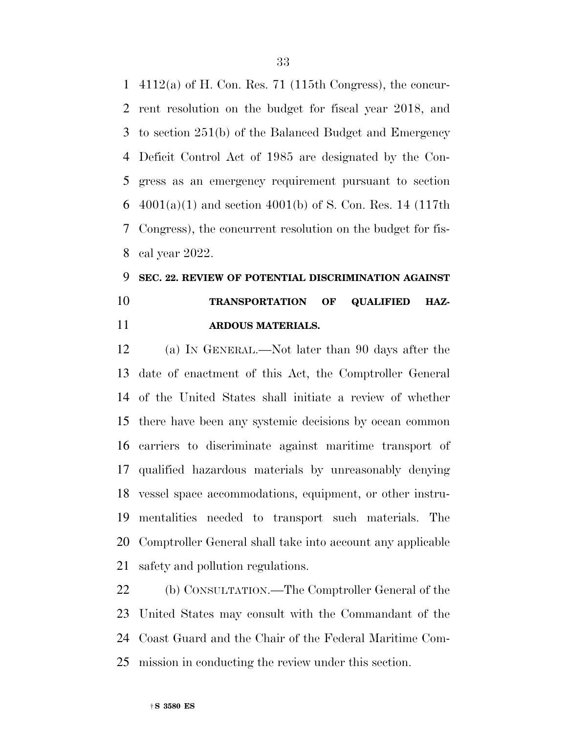4112(a) of H. Con. Res. 71 (115th Congress), the concur- rent resolution on the budget for fiscal year 2018, and to section 251(b) of the Balanced Budget and Emergency Deficit Control Act of 1985 are designated by the Con- gress as an emergency requirement pursuant to section 6 4001(a)(1) and section 4001(b) of S. Con. Res. 14 (117th Congress), the concurrent resolution on the budget for fis-cal year 2022.

## **SEC. 22. REVIEW OF POTENTIAL DISCRIMINATION AGAINST TRANSPORTATION OF QUALIFIED HAZ-ARDOUS MATERIALS.**

 (a) IN GENERAL.—Not later than 90 days after the date of enactment of this Act, the Comptroller General of the United States shall initiate a review of whether there have been any systemic decisions by ocean common carriers to discriminate against maritime transport of qualified hazardous materials by unreasonably denying vessel space accommodations, equipment, or other instru- mentalities needed to transport such materials. The Comptroller General shall take into account any applicable safety and pollution regulations.

 (b) CONSULTATION.—The Comptroller General of the United States may consult with the Commandant of the Coast Guard and the Chair of the Federal Maritime Com-mission in conducting the review under this section.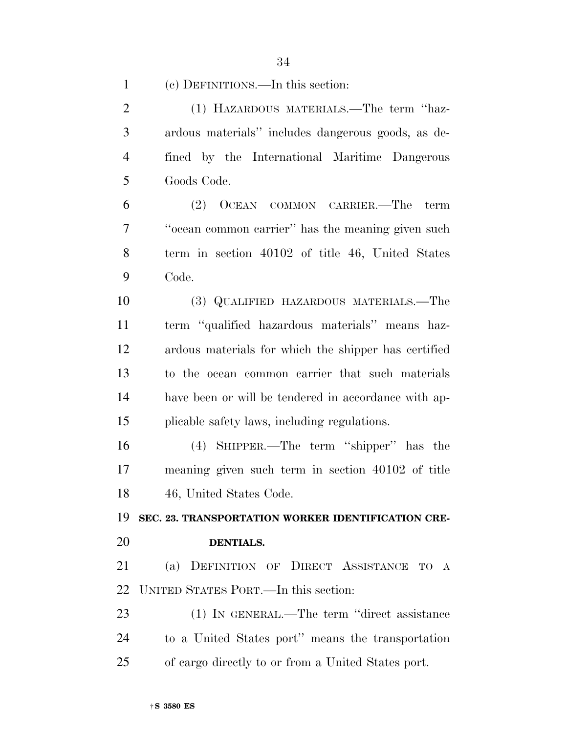(c) DEFINITIONS.—In this section:

 (1) HAZARDOUS MATERIALS.—The term ''haz- ardous materials'' includes dangerous goods, as de- fined by the International Maritime Dangerous Goods Code. (2) OCEAN COMMON CARRIER.—The term ''ocean common carrier'' has the meaning given such term in section 40102 of title 46, United States Code. (3) QUALIFIED HAZARDOUS MATERIALS.—The term ''qualified hazardous materials'' means haz- ardous materials for which the shipper has certified to the ocean common carrier that such materials have been or will be tendered in accordance with ap- plicable safety laws, including regulations. (4) SHIPPER.—The term ''shipper'' has the meaning given such term in section 40102 of title 46, United States Code. **SEC. 23. TRANSPORTATION WORKER IDENTIFICATION CRE- DENTIALS.**  (a) DEFINITION OF DIRECT ASSISTANCE TO A UNITED STATES PORT.—In this section: (1) IN GENERAL.—The term ''direct assistance to a United States port'' means the transportation of cargo directly to or from a United States port.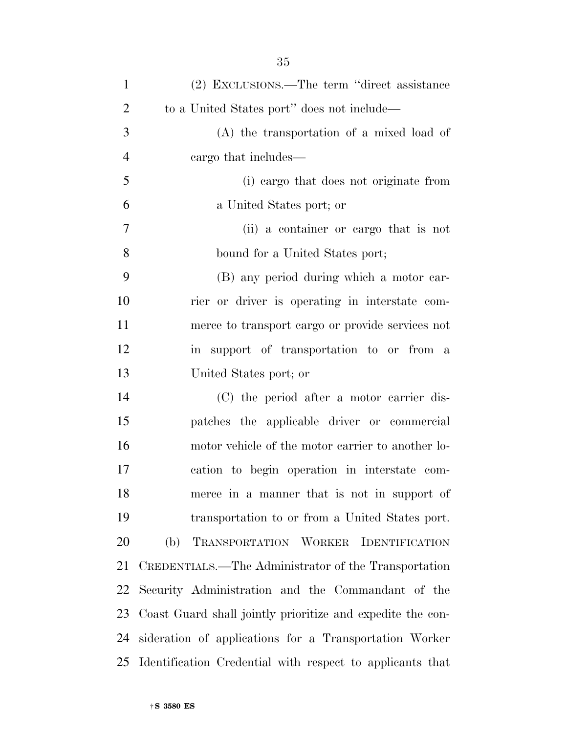| $\mathbf{1}$   | (2) EXCLUSIONS.—The term "direct assistance                |
|----------------|------------------------------------------------------------|
| $\overline{2}$ | to a United States port" does not include—                 |
| 3              | $(A)$ the transportation of a mixed load of                |
| $\overline{4}$ | cargo that includes—                                       |
| 5              | (i) cargo that does not originate from                     |
| 6              | a United States port; or                                   |
| 7              | (ii) a container or cargo that is not                      |
| 8              | bound for a United States port;                            |
| 9              | (B) any period during which a motor car-                   |
| 10             | rier or driver is operating in interstate com-             |
| 11             | merce to transport cargo or provide services not           |
| 12             | in support of transportation to or from a                  |
| 13             | United States port; or                                     |
| 14             | (C) the period after a motor carrier dis-                  |
| 15             | patches the applicable driver or commercial                |
| 16             | motor vehicle of the motor carrier to another lo-          |
| 17             | cation to begin operation in interstate com-               |
| 18             | merce in a manner that is not in support of                |
| 19             | transportation to or from a United States port.            |
| 20             | (b)<br>TRANSPORTATION WORKER IDENTIFICATION                |
| 21             | CREDENTIALS.—The Administrator of the Transportation       |
| 22             | Security Administration and the Commandant of the          |
| 23             | Coast Guard shall jointly prioritize and expedite the con- |
| 24             | sideration of applications for a Transportation Worker     |
| 25             | Identification Credential with respect to applicants that  |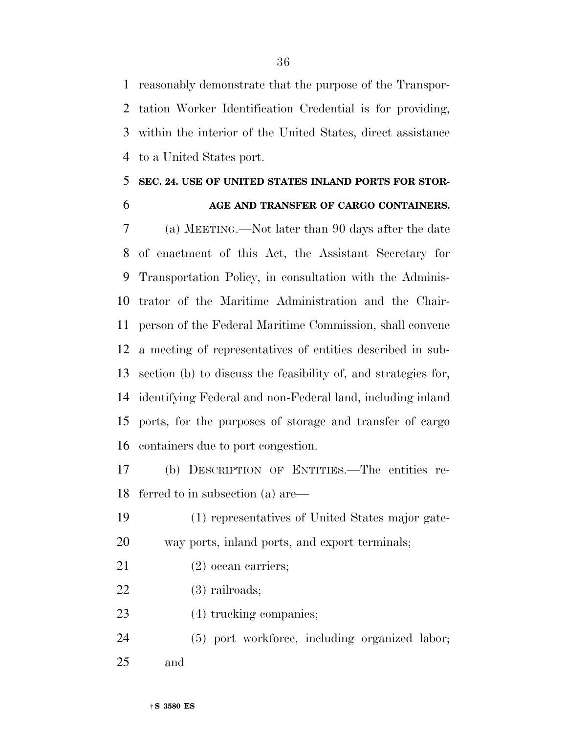reasonably demonstrate that the purpose of the Transpor- tation Worker Identification Credential is for providing, within the interior of the United States, direct assistance to a United States port.

## **SEC. 24. USE OF UNITED STATES INLAND PORTS FOR STOR-**

## **AGE AND TRANSFER OF CARGO CONTAINERS.**

 (a) MEETING.—Not later than 90 days after the date of enactment of this Act, the Assistant Secretary for Transportation Policy, in consultation with the Adminis- trator of the Maritime Administration and the Chair- person of the Federal Maritime Commission, shall convene a meeting of representatives of entities described in sub- section (b) to discuss the feasibility of, and strategies for, identifying Federal and non-Federal land, including inland ports, for the purposes of storage and transfer of cargo containers due to port congestion.

 (b) DESCRIPTION OF ENTITIES.—The entities re-ferred to in subsection (a) are—

 (1) representatives of United States major gate-way ports, inland ports, and export terminals;

- (2) ocean carriers;
- (3) railroads;
- (4) trucking companies;
- (5) port workforce, including organized labor; and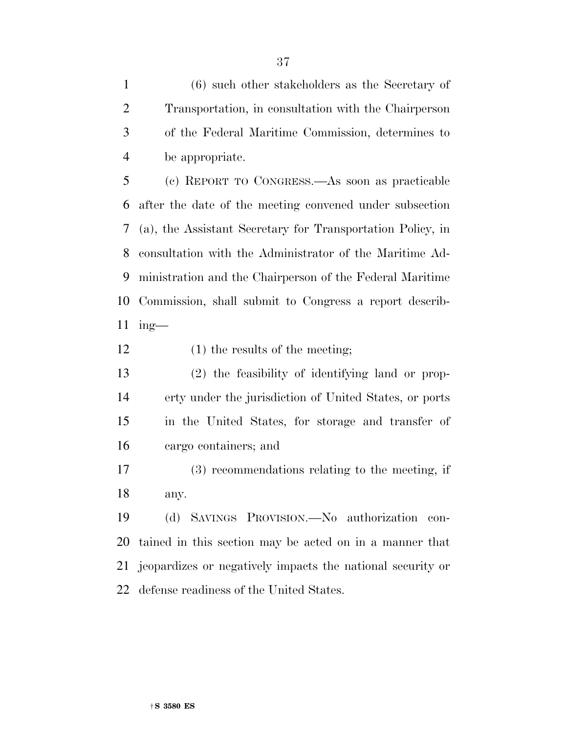(6) such other stakeholders as the Secretary of Transportation, in consultation with the Chairperson of the Federal Maritime Commission, determines to be appropriate.

 (c) REPORT TO CONGRESS.—As soon as practicable after the date of the meeting convened under subsection (a), the Assistant Secretary for Transportation Policy, in consultation with the Administrator of the Maritime Ad- ministration and the Chairperson of the Federal Maritime Commission, shall submit to Congress a report describ-ing—

- 12 (1) the results of the meeting;
- (2) the feasibility of identifying land or prop- erty under the jurisdiction of United States, or ports in the United States, for storage and transfer of cargo containers; and
- (3) recommendations relating to the meeting, if any.

 (d) SAVINGS PROVISION.—No authorization con- tained in this section may be acted on in a manner that jeopardizes or negatively impacts the national security or defense readiness of the United States.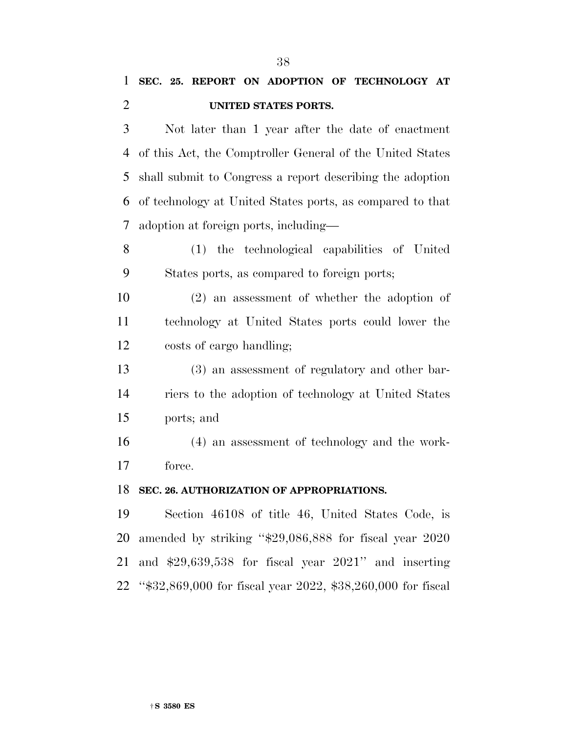Not later than 1 year after the date of enactment of this Act, the Comptroller General of the United States shall submit to Congress a report describing the adoption of technology at United States ports, as compared to that adoption at foreign ports, including—

 (1) the technological capabilities of United States ports, as compared to foreign ports;

 (2) an assessment of whether the adoption of technology at United States ports could lower the costs of cargo handling;

 (3) an assessment of regulatory and other bar- riers to the adoption of technology at United States ports; and

 (4) an assessment of technology and the work-force.

#### **SEC. 26. AUTHORIZATION OF APPROPRIATIONS.**

 Section 46108 of title 46, United States Code, is amended by striking ''\$29,086,888 for fiscal year 2020 and \$29,639,538 for fiscal year 2021'' and inserting ''\$32,869,000 for fiscal year 2022, \$38,260,000 for fiscal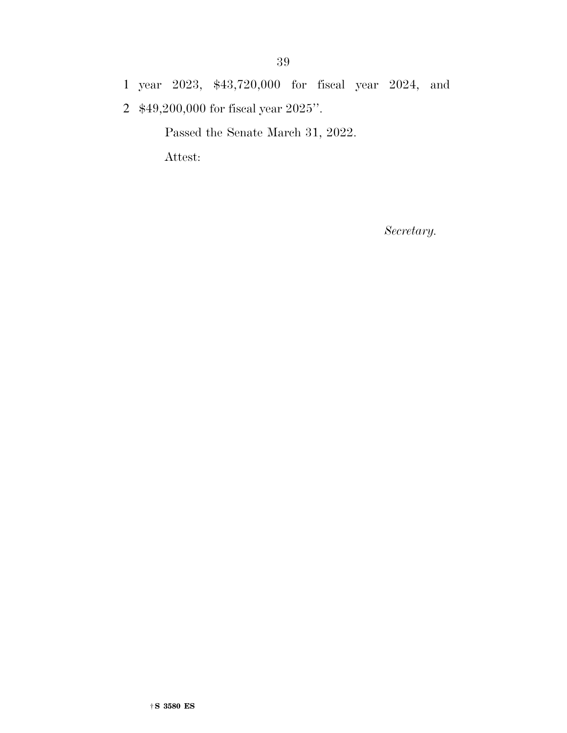1 year 2023, \$43,720,000 for fiscal year 2024, and

2 \$49,200,000 for fiscal year 2025''.

Passed the Senate March 31, 2022.

Attest:

*Secretary.*